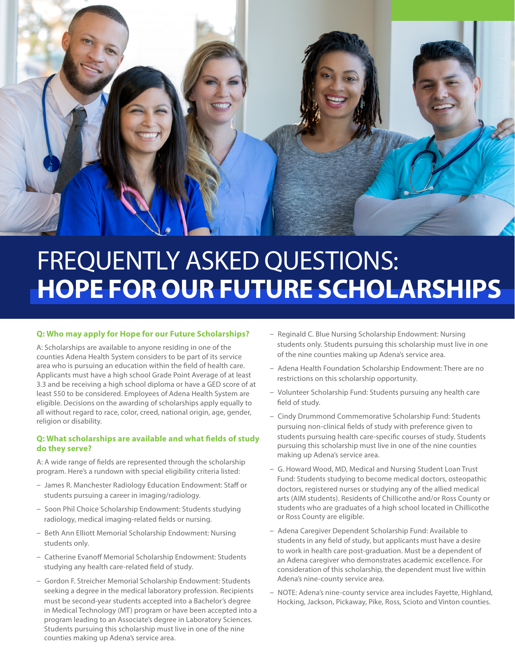

# FREQUENTLY ASKED QUESTIONS: **HOPE FOR OUR FUTURE SCHOLARSHIPS**

#### **Q: Who may apply for Hope for our Future Scholarships?**

A: Scholarships are available to anyone residing in one of the counties Adena Health System considers to be part of its service area who is pursuing an education within the field of health care. Applicants must have a high school Grade Point Average of at least 3.3 and be receiving a high school diploma or have a GED score of at least 550 to be considered. Employees of Adena Health System are eligible. Decisions on the awarding of scholarships apply equally to all without regard to race, color, creed, national origin, age, gender, religion or disability.

## **Q: What scholarships are available and what fields of study do they serve?**

A: A wide range of fields are represented through the scholarship program. Here's a rundown with special eligibility criteria listed:

- James R. Manchester Radiology Education Endowment: Staff or students pursuing a career in imaging/radiology.
- Soon Phil Choice Scholarship Endowment: Students studying radiology, medical imaging-related fields or nursing.
- Beth Ann Elliott Memorial Scholarship Endowment: Nursing students only.
- Catherine Evanoff Memorial Scholarship Endowment: Students studying any health care-related field of study.
- Gordon F. Streicher Memorial Scholarship Endowment: Students seeking a degree in the medical laboratory profession. Recipients must be second-year students accepted into a Bachelor's degree in Medical Technology (MT) program or have been accepted into a program leading to an Associate's degree in Laboratory Sciences. Students pursuing this scholarship must live in one of the nine counties making up Adena's service area.
- Reginald C. Blue Nursing Scholarship Endowment: Nursing students only. Students pursuing this scholarship must live in one of the nine counties making up Adena's service area.
- Adena Health Foundation Scholarship Endowment: There are no restrictions on this scholarship opportunity.
- Volunteer Scholarship Fund: Students pursuing any health care field of study.
- Cindy Drummond Commemorative Scholarship Fund: Students pursuing non-clinical fields of study with preference given to students pursuing health care-specific courses of study. Students pursuing this scholarship must live in one of the nine counties making up Adena's service area.
- G. Howard Wood, MD, Medical and Nursing Student Loan Trust Fund: Students studying to become medical doctors, osteopathic doctors, registered nurses or studying any of the allied medical arts (AIM students). Residents of Chillicothe and/or Ross County or students who are graduates of a high school located in Chillicothe or Ross County are eligible.
- Adena Caregiver Dependent Scholarship Fund: Available to students in any field of study, but applicants must have a desire to work in health care post-graduation. Must be a dependent of an Adena caregiver who demonstrates academic excellence. For consideration of this scholarship, the dependent must live within Adena's nine-county service area.
- NOTE: Adena's nine-county service area includes Fayette, Highland, Hocking, Jackson, Pickaway, Pike, Ross, Scioto and Vinton counties.